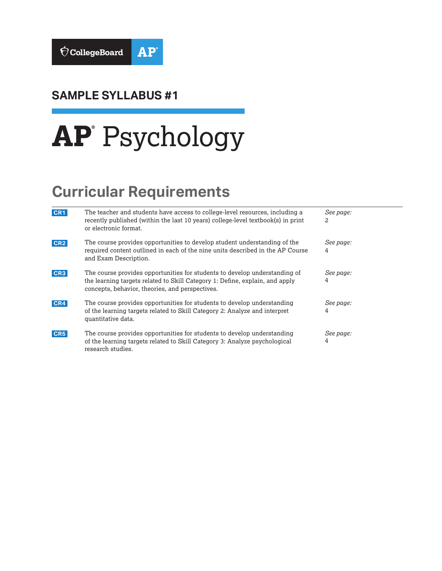

### **SAMPLE SYLLABUS #1**

# **AP®** Psychology

# **Curricular Requirements**

| CR <sub>1</sub> | The teacher and students have access to college-level resources, including a<br>recently published (within the last 10 years) college-level textbook(s) in print<br>or electronic format.                     | See page:<br>2 |
|-----------------|---------------------------------------------------------------------------------------------------------------------------------------------------------------------------------------------------------------|----------------|
| CR <sub>2</sub> | The course provides opportunities to develop student understanding of the<br>required content outlined in each of the nine units described in the AP Course<br>and Exam Description.                          | See page:<br>4 |
| CR <sub>3</sub> | The course provides opportunities for students to develop understanding of<br>the learning targets related to Skill Category 1: Define, explain, and apply<br>concepts, behavior, theories, and perspectives. | See page:<br>4 |
| CR4             | The course provides opportunities for students to develop understanding<br>of the learning targets related to Skill Category 2: Analyze and interpret<br>quantitative data.                                   | See page:<br>4 |
| CR <sub>5</sub> | The course provides opportunities for students to develop understanding<br>of the learning targets related to Skill Category 3: Analyze psychological<br>research studies.                                    | See page:<br>4 |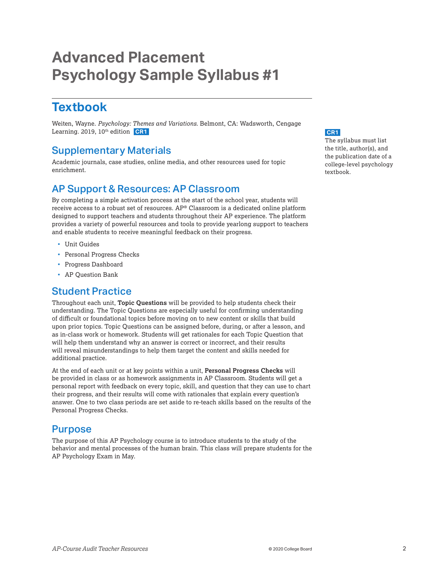## <span id="page-1-0"></span>**Advanced Placement Psychology Sample Syllabus #1**

### **Textbook**

Weiten, Wayne. *Psychology: Themes and Variations*. Belmont, CA: Wadsworth, Cengage Learning. 2019, 10<sup>th</sup> edition **CR1** 

#### Supplementary Materials

Academic journals, case studies, online media, and other resources used for topic enrichment.

### AP Support & Resources: AP Classroom

By completing a simple activation process at the start of the school year, students will receive access to a robust set of resources. AP® Classroom is a dedicated online platform designed to support teachers and students throughout their AP experience. The platform provides a variety of powerful resources and tools to provide yearlong support to teachers and enable students to receive meaningful feedback on their progress.

- Unit Guides
- **Personal Progress Checks**
- Progress Dashboard
- AP Question Bank

### Student Practice

Throughout each unit, **Topic Questions** will be provided to help students check their understanding. The Topic Questions are especially useful for confirming understanding of difficult or foundational topics before moving on to new content or skills that build upon prior topics. Topic Questions can be assigned before, during, or after a lesson, and as in-class work or homework. Students will get rationales for each Topic Question that will help them understand why an answer is correct or incorrect, and their results will reveal misunderstandings to help them target the content and skills needed for additional practice.

At the end of each unit or at key points within a unit, **Personal Progress Checks** will be provided in class or as homework assignments in AP Classroom. Students will get a personal report with feedback on every topic, skill, and question that they can use to chart their progress, and their results will come with rationales that explain every question's answer. One to two class periods are set aside to re-teach skills based on the results of the Personal Progress Checks.

#### Purpose

The purpose of this AP Psychology course is to introduce students to the study of the behavior and mental processes of the human brain. This class will prepare students for the AP Psychology Exam in May.

#### **CR1**

The syllabus must list the title, author(s), and the publication date of a college-level psychology textbook.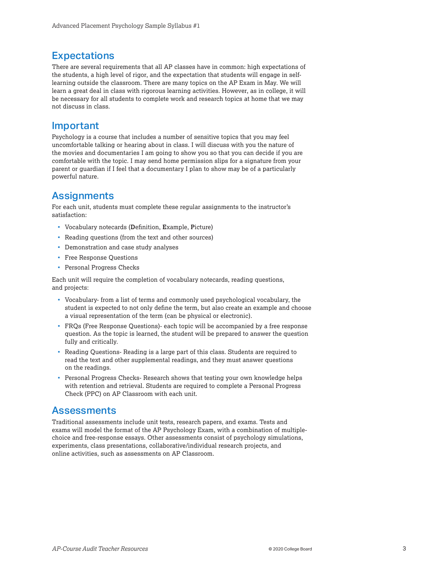#### **Expectations**

There are several requirements that all AP classes have in common: high expectations of the students, a high level of rigor, and the expectation that students will engage in selflearning outside the classroom. There are many topics on the AP Exam in May. We will learn a great deal in class with rigorous learning activities. However, as in college, it will be necessary for all students to complete work and research topics at home that we may not discuss in class.

#### Important

Psychology is a course that includes a number of sensitive topics that you may feel uncomfortable talking or hearing about in class. I will discuss with you the nature of the movies and documentaries I am going to show you so that you can decide if you are comfortable with the topic. I may send home permission slips for a signature from your parent or guardian if I feel that a documentary I plan to show may be of a particularly powerful nature.

#### **Assignments**

For each unit, students must complete these regular assignments to the instructor's satisfaction:

- Vocabulary notecards (**D**efinition, **E**xample, **P**icture)
- Reading questions (from the text and other sources)
- Demonstration and case study analyses
- **Free Response Questions**
- **Personal Progress Checks**

Each unit will require the completion of vocabulary notecards, reading questions, and projects:

- Vocabulary- from a list of terms and commonly used psychological vocabulary, the student is expected to not only define the term, but also create an example and choose a visual representation of the term (can be physical or electronic).
- FRQs (Free Response Questions)- each topic will be accompanied by a free response question. As the topic is learned, the student will be prepared to answer the question fully and critically.
- Reading Questions- Reading is a large part of this class. Students are required to read the text and other supplemental readings, and they must answer questions on the readings.
- Personal Progress Checks- Research shows that testing your own knowledge helps with retention and retrieval. Students are required to complete a Personal Progress Check (PPC) on AP Classroom with each unit.

#### Assessments

Traditional assessments include unit tests, research papers, and exams. Tests and exams will model the format of the AP Psychology Exam, with a combination of multiplechoice and free-response essays. Other assessments consist of psychology simulations, experiments, class presentations, collaborative/individual research projects, and online activities, such as assessments on AP Classroom.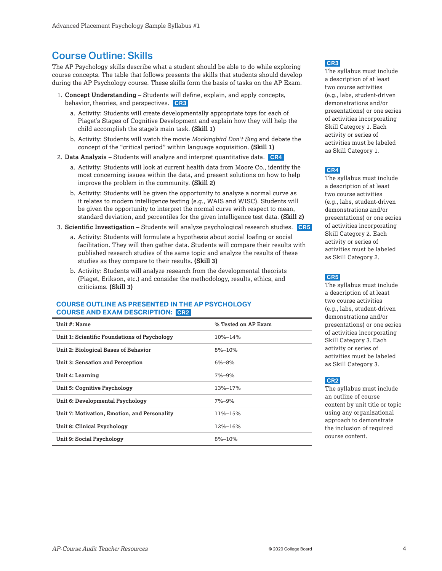#### <span id="page-3-0"></span>Course Outline: Skills

The AP Psychology skills describe what a student should be able to do while exploring course concepts. The table that follows presents the skills that students should develop during the AP Psychology course. These skills form the basis of tasks on the AP Exam.

- 1. **Concept Understanding** Students will define, explain, and apply concepts, behavior, theories, and perspectives. **CR3** 
	- a. Activity: Students will create developmentally appropriate toys for each of Piaget's Stages of Cognitive Development and explain how they will help the child accomplish the stage's main task. **(Skill 1)**
	- b. Activity: Students will watch the movie *Mockingbird Don't Sing* and debate the concept of the "critical period" within language acquisition. **(Skill 1)**
- 2. **Data Analysis** Students will analyze and interpret quantitative data. **CR4** 
	- a. Activity: Students will look at current health data from Moore Co., identify the most concerning issues within the data, and present solutions on how to help improve the problem in the community. **(Skill 2)**
	- b. Activity: Students will be given the opportunity to analyze a normal curve as it relates to modern intelligence testing (e.g., WAIS and WISC). Students will be given the opportunity to interpret the normal curve with respect to mean, standard deviation, and percentiles for the given intelligence test data. **(Skill 2)**
- 3. **Scientific Investigation** Students will analyze psychological research studies. **CR5** 
	- a. Activity: Students will formulate a hypothesis about social loafing or social facilitation. They will then gather data. Students will compare their results with published research studies of the same topic and analyze the results of these studies as they compare to their results. **(Skill 3)**
	- b. Activity: Students will analyze research from the developmental theorists (Piaget, Erikson, etc.) and consider the methodology, results, ethics, and criticisms. **(Skill 3)**

#### **COURSE OUTLINE AS PRESENTED IN THE AP PSYCHOLOGY COURSE AND EXAM DESCRIPTION: CR2**

| Unit #: Name                                 | % Tested on AP Exam |  |
|----------------------------------------------|---------------------|--|
| Unit 1: Scientific Foundations of Psychology | 10%-14%             |  |
| Unit 2: Biological Bases of Behavior         | $8\% - 10\%$        |  |
| Unit 3: Sensation and Perception             | $6\% - 8\%$         |  |
| Unit 4: Learning                             | $7\% - 9\%$         |  |
| <b>Unit 5: Cognitive Psychology</b>          | 13%-17%             |  |
| Unit 6: Developmental Psychology             | $7\% - 9\%$         |  |
| Unit 7: Motivation, Emotion, and Personality | 11%-15%             |  |
| Unit 8: Clinical Psychology                  | 12%-16%             |  |
| Unit 9: Social Psychology                    | $8\% - 10\%$        |  |

#### **CR3**

The syllabus must include a description of at least two course activities (e.g., labs, student-driven demonstrations and/or presentations) or one series of activities incorporating Skill Category 1. Each activity or series of activities must be labeled as Skill Category 1.

#### **CR4**

The syllabus must include a description of at least two course activities (e.g., labs, student-driven demonstrations and/or presentations) or one series of activities incorporating Skill Category 2. Each activity or series of activities must be labeled as Skill Category 2.

#### **CR5**

The syllabus must include a description of at least two course activities (e.g., labs, student-driven demonstrations and/or presentations) or one series of activities incorporating Skill Category 3. Each activity or series of activities must be labeled as Skill Category 3.

#### **CR2**

The syllabus must include an outline of course content by unit title or topic using any organizational approach to demonstrate the inclusion of required course content.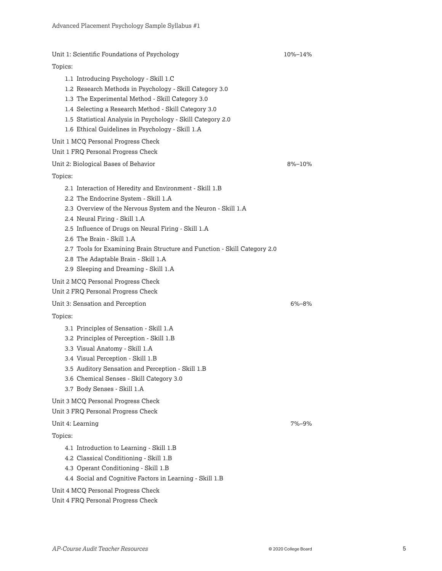Unit 1: Scientific Foundations of Psychology 10%–14% Topics: 1.1 Introducing Psychology - Skill 1.C 1.2 Research Methods in Psychology - Skill Category 3.0 1.3 The Experimental Method - Skill Category 3.0 1.4 Selecting a Research Method - Skill Category 3.0 1.5 Statistical Analysis in Psychology - Skill Category 2.0 1.6 Ethical Guidelines in Psychology - Skill 1.A Unit 1 MCQ Personal Progress Check Unit 1 FRQ Personal Progress Check Unit 2: Biological Bases of Behavior 6 (1996) 10% (1996) 10% (1998) 8%–10% Topics: 2.1 Interaction of Heredity and Environment - Skill 1.B 2.2 The Endocrine System - Skill 1.A 2.3 Overview of the Nervous System and the Neuron - Skill 1.A 2.4 Neural Firing - Skill 1.A 2.5 Influence of Drugs on Neural Firing - Skill 1.A 2.6 The Brain - Skill 1.A 2.7 Tools for Examining Brain Structure and Function - Skill Category 2.0 2.8 The Adaptable Brain - Skill 1.A 2.9 Sleeping and Dreaming - Skill 1.A Unit 2 MCQ Personal Progress Check Unit 2 FRQ Personal Progress Check Unit 3: Sensation and Perception 6%–8% Topics: 3.1 Principles of Sensation - Skill 1.A 3.2 Principles of Perception - Skill 1.B 3.3 Visual Anatomy - Skill 1.A 3.4 Visual Perception - Skill 1.B 3.5 Auditory Sensation and Perception - Skill 1.B 3.6 Chemical Senses - Skill Category 3.0 3.7 Body Senses - Skill 1.A Unit 3 MCQ Personal Progress Check Unit 3 FRQ Personal Progress Check Unit 4: Learning 7%–9% Topics: 4.1 Introduction to Learning - Skill 1.B 4.2 Classical Conditioning - Skill 1.B 4.3 Operant Conditioning - Skill 1.B 4.4 Social and Cognitive Factors in Learning - Skill 1.B Unit 4 MCQ Personal Progress Check Unit 4 FRQ Personal Progress Check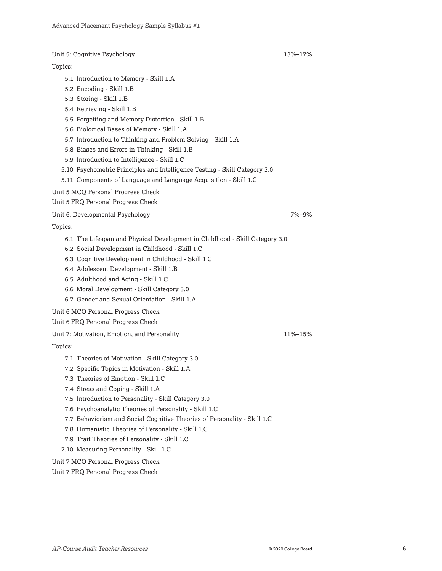Unit 5: Cognitive Psychology 13%–17%

#### Topics:

- 5.1 Introduction to Memory Skill 1.A
- 5.2 Encoding Skill 1.B
- 5.3 Storing Skill 1.B
- 5.4 Retrieving Skill 1.B
- 5.5 Forgetting and Memory Distortion Skill 1.B
- 5.6 Biological Bases of Memory Skill 1.A
- 5.7 Introduction to Thinking and Problem Solving Skill 1.A
- 5.8 Biases and Errors in Thinking Skill 1.B
- 5.9 Introduction to Intelligence Skill 1.C
- 5.10 Psychometric Principles and Intelligence Testing Skill Category 3.0
- 5.11 Components of Language and Language Acquisition Skill 1.C
- Unit 5 MCQ Personal Progress Check

Unit 5 FRQ Personal Progress Check

Unit 6: Developmental Psychology 7%–9%

Topics:

- 6.1 The Lifespan and Physical Development in Childhood Skill Category 3.0
- 6.2 Social Development in Childhood Skill 1.C
- 6.3 Cognitive Development in Childhood Skill 1.C
- 6.4 Adolescent Development Skill 1.B
- 6.5 Adulthood and Aging Skill 1.C
- 6.6 Moral Development Skill Category 3.0
- 6.7 Gender and Sexual Orientation Skill 1.A

Unit 6 MCQ Personal Progress Check

Unit 6 FRQ Personal Progress Check

Unit 7: Motivation, Emotion, and Personality 11%–15%

#### Topics:

- 7.1 Theories of Motivation Skill Category 3.0
- 7.2 Specific Topics in Motivation Skill 1.A
- 7.3 Theories of Emotion Skill 1.C
- 7.4 Stress and Coping Skill 1.A
- 7.5 Introduction to Personality Skill Category 3.0
- 7.6 Psychoanalytic Theories of Personality Skill 1.C
- 7.7 Behaviorism and Social Cognitive Theories of Personality Skill 1.C
- 7.8 Humanistic Theories of Personality Skill 1.C
- 7.9 Trait Theories of Personality Skill 1.C
- 7.10 Measuring Personality Skill 1.C

Unit 7 MCQ Personal Progress Check

#### Unit 7 FRQ Personal Progress Check